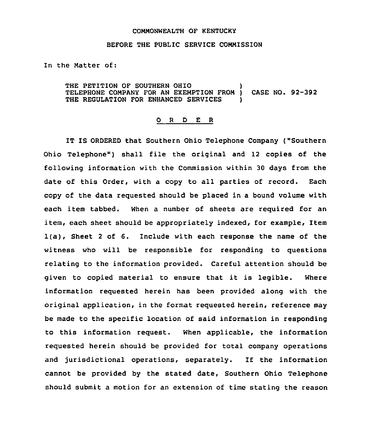## COMMONWEALTH OF KENTUCKY

## BEFORE THE PUBLIC SERVICE CONNISSION

In the Natter of:

THE PETITION OF SOUTHERN OHIO TELEPHONE COMPANY FOR AN EXEMPTION PRON ) CASE NO. 92-392 THE REGULATION FOR ENHANCED SERVICES

## 0 <sup>R</sup> <sup>D</sup> E <sup>R</sup>

IT IS ORDERED that Southern Ohio Telephone Company ("Southern Ohio Telephone") shall file the original and 12 copies of the following information with the Commission within 30 days from the date of this Order, with a copy to all parties of record. Each copy of the data requested should be placed in a bound volume with each item tabbed. When a number of sheets are required for an item, each sheet should be appropriately indexed, for example, Item 1(a), Sheet <sup>2</sup> of 6. Include with each response the name of the witness who will be responsible for responding to questions relating to the information provided. Careful attention should be given to copied material to ensure that it is legible. Where information requested herein has been provided along with the original application, in the format requested herein, reference may be made to the specific location of said information in responding to this information request. When applicable, the information requested herein should be provided for total company operations and jurisdictional operations, separately. If the information cannot be provided by the stated date, Southern Ohio Telephone should submit a motion for an extension of time stating the reason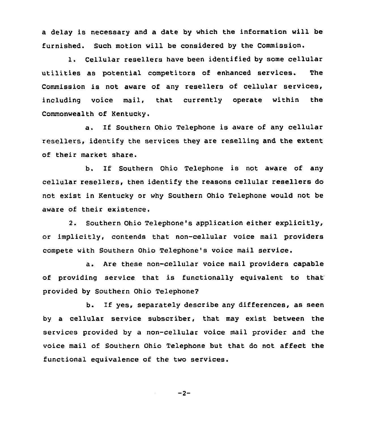a delay is necessary and a date by which the information will be furnished. Such motion will be considered by the Commission.

1. Cellular resellers have been identified by some cellular utilities as potential competitors of enhanced services. The Commission is not aware of any resellers of cellular services, including voice mail, that currently operate within the Commonwealth of Kentucky.

a. If Southern Ohio Telephone is aware of any cellular resellers, identify the services they are reselling and the extent of their market share.

b. If Southern Ohio Telephone is not aware of any cellular resellers, then identify the reasons cellular resellers do not exist in Kentucky or why Southern Ohio Telephone would not be aware of their existence.

2. Southern Ohio Telephone's application either explicitly, or implicitly, contends that non-cellular voice mail providers compete with Southern Ohio Telephone's voice mail service.

a. Are these non-cellular voice mail providers capable of providing service that is functionally equivalent to that provided by Southern Ohio Telephone?

b. If yes, separately describe any differences, as seen by a cellular service subscriber, that may exist between the services provided by a non-cellular voice mail provider and the voice mail of Southern Ohio Telephone but that do not affect the functional equivalence of the two services.

 $-2-$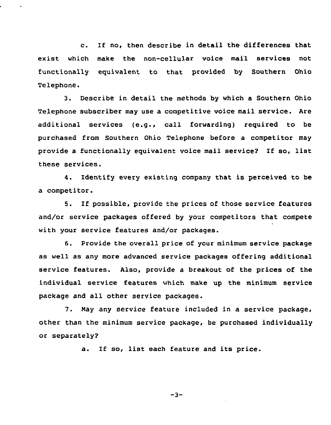c. If no, then describe in detail the differences that exist which make the non-cellular voice mail services not functionally equivalent to that. provided by Southern Ohio Telephone.

3. Describe in detail the methods by which a Southern Ohio Telephone subscriber may use a competitive voice mail service. Are additional services (e.g., call forwarding) required to be purchased from Southern Ohio Telephone before a competitor may provide <sup>a</sup> functionally equivalent voice mail service? If so, list these services.

4. Identify every existing company that is perceived to be a competitor.

5. If possible, provide the prices of those service features and/or service packages offered by your competitors that compete with your service features and/or packages.

6. Provide the overall price of your minimum service package as well as any more advanced service packages offering additional service features. Also, provide a breakout of the prices of the individual service features which make up the minimum service package and all other service packages.

7. Nay any service feature included in a service package, other than the minimum service package, be purchased individually or separately?

a. If so, list each feature and its price.

 $-3-$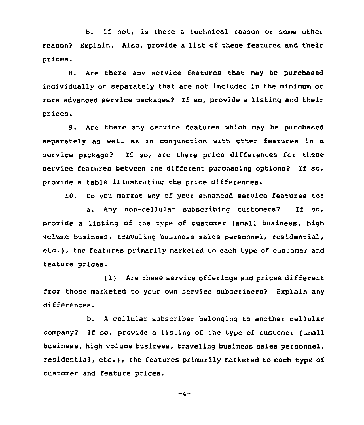b. If not, is there <sup>a</sup> technical reason or some other reason? Explain. Also, provide <sup>a</sup> list of these features and their prices.

8. Are there any service features that may be purchased individually or separately that are not included in the minimum or more advanced service packages? If so, provide <sup>a</sup> listing and their prices.

9. Are there any service features which may be purchased separately as well as in conjunction with other features in a service package? If so, are there price differences for these service features between the different purchasing options? If so, provide a table illustrating the price differences.

10. Do you market any of your enhanced service features to:

a. Any non-cellular subscribing customers? If so, provide a listing of the type of customer (small business, high volume business, traveling business sales personnel, residential, etc.), the features primarily marketed to each type of customer and feature prices.

(1) Are these service offerings and prices different from those marketed to your own service subscribers2 Explain any differences.

b. <sup>A</sup> cellular subscriber belonging to another cellular company2 If so, provide a listing of the type of customer (small business, high volume business, traveling business sales personnel, residential, etc.), the features primarily marketed to each type of customer and feature prices.

 $-4-$